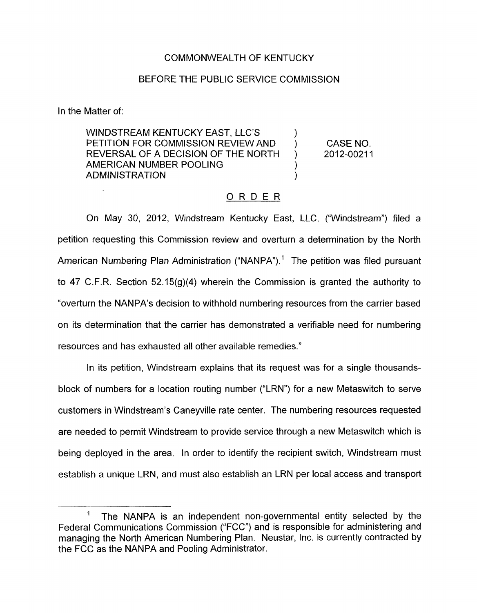## COMMONWEALTH OF KENTUCKY

## BEFORE THE PUBLIC SERVICE COMMISSION

In the Matter of:

WINDSTREAM KENTUCKY EAST, LLC'S<br>PETITION FOR COMMISSION REVIEW AND ) CASE NO.<br>REVERSAL OF A DECISION OF THE NORTH ) 2012-00211 REVERSAL OF A DECISION OF THE NORTH AMERICAN NUMBER POOLING ) **ADMINISTRATION** 

## ORDER

On May 30, 2012, Windstream Kentucky East, LLC, ("Windstream") filed a petition requesting this Commission review and overturn a determination by the North American Numbering Plan Administration ("NANPA").<sup>1</sup> The petition was filed pursuant to 47 C.F.R. Section 52.15(g)(4) wherein the Commission is granted the authority to "overturn the NANPA's decision to withhold numbering resources from the carrier based on its determination that the carrier has demonstrated a verifiable need for numbering resources and has exhausted all other available remedies."

In its petition, Windstream explains that its request was for a single thousandsblock of numbers for a location routing number ("LRN") for a new Metaswitch to serve customers in Windstream's Caneyville rate center. The numbering resources requested are needed to permit Windstream to provide service through a new Metaswitch which is being deployed in the area. In order to identify the recipient switch, Windstream must establish a unique LRN, and must also establish an LRN per local access and transport

 $\mathbf{1}$ The NANPA is an independent non-governmental entity selected by the Federal Communications Commission ("FCC") and is responsible for administering and managing the North American Numbering Plan. Neustar, Inc. is currently contracted by the FCC as the NANPA and Pooling Administrator.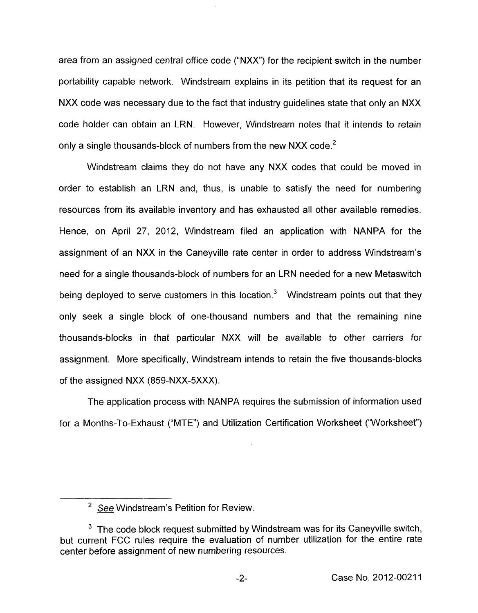area from an assigned central office code ("NXX") for the recipient switch in the number portability capable network. Windstream explains in its petition that its request for an NXX code was necessary due to the fact that industry guidelines state that only an NXX code holder can obtain an LRN. However, Windstream notes that it intends to retain only a single thousands-block of numbers from the new NXX code.<sup>2</sup>

Windstream claims they do not have any NXX codes that could be moved in order to establish an LRN and, thus, is unable to satisfy the need for numbering resources from its available inventory and has exhausted all other available remedies. Hence, on April 27, 2012, Windstream filed an application with NANPA for the assignment of an NXX in the Caneyville rate center in order to address Windstream's need for a single thousands-block of numbers for an LRN needed for a new Metaswitch being deployed to serve customers in this location.<sup>3</sup> Windstream points out that they only seek a single block of one-thousand numbers and that the remaining nine thousands-blocks in that particular NXX will be available to other carriers for assignment. More specifically, Windstream intends to retain the five thousands-blocks of the assigned NXX (859-NXX-5XXX).

The application process with NANPA requires the submission of information used for a Months-To-Exhaust ("MTE") and Utilization Certification Worksheet ("Worksheet")

<sup>&</sup>lt;sup>2</sup> See Windstream's Petition for Review.

 $3$  The code block request submitted by Windstream was for its Caneyville switch, but current FCC rules require the evaluation of number utilization for the entire rate center before assignment of new numbering resources.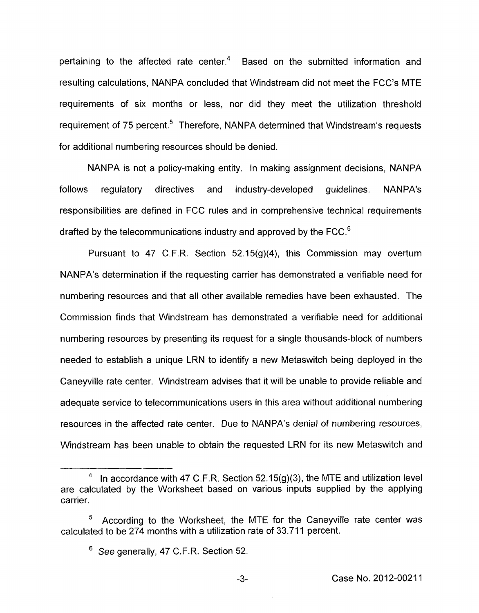pertaining to the affected rate center.<sup>4</sup> Based on the submitted information and resulting calculations, NANPA concluded that Windstream did not meet the FCC's MTE requirements of six months or less, nor did they meet the utilization threshold requirement of 75 percent.<sup>5</sup> Therefore, NANPA determined that Windstream's requests for additional numbering resources should be denied.

NANPA is not a policy-making entity. In making assignment decisions, NANPA follows regulatory directives and industry-developed guidelines. NANPA's responsibilities are defined in FCC rules and in comprehensive technical requirements drafted by the telecommunications industry and approved by the FCC.<sup>6</sup>

Pursuant to 47 C.F.R. Section 52.15(g)(4), this Commission may overturn NANPA's determination if the requesting carrier has demonstrated a verifiable need for numbering resources and that all other available remedies have been exhausted. The Commission finds that Windstream has demonstrated a verifiable need for additional numbering resources by presenting its request for a single thousands-block of numbers needed to establish a unique LRN to identify a new Metaswitch being deployed in the Caneyville rate center. Windstream advises that it will be unable to provide reliable and adequate service to telecommunications users in this area without additional numbering resources in the affected rate center. Due to NANPA's denial of numbering resources, Windstream has been unable to obtain the requested LRN for its new Metaswitch and<br>————————————————————

In accordance with 47 C.F.R. Section  $52.15(g)(3)$ , the MTE and utilization level are calculated by the Worksheet based on various inputs supplied by the applying carrier.

According to the Worksheet, the MTE for the Caneyville rate center was calculated to be 274 months with a utilization rate of 33.711 percent.

<sup>&</sup>lt;sup>6</sup> See generally, 47 C.F.R. Section 52.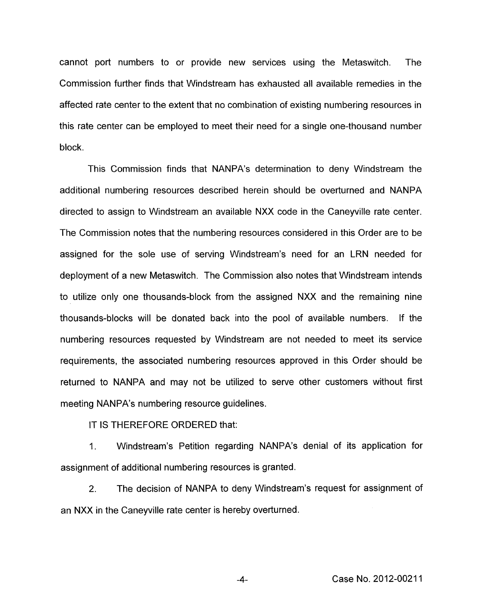cannot port numbers to or provide new services using the Metaswitch. The Commission further finds that Windstream has exhausted all available remedies in the affected rate center to the extent that no combination of existing numbering resources in this rate center can be employed to meet their need for a single one-thousand number block.

This Commission finds that NANPA's determination to deny Windstream the additional numbering resources described herein should be overturned and NANPA directed to assign to Windstream an available NXX code in the Caneyville rate center. The Commission notes that the numbering resources considered in this Order are to be assigned for the sole use of serving Windstream's need for an LRN needed for deployment of a new Metaswitch. The Commission also notes that Windstream intends to utilize only one thousands-block from the assigned NXX and the remaining nine thousands-blocks will be donated back into the pool of available numbers. If the numbering resources requested by Windstream are not needed to meet its service requirements, the associated numbering resources approved in this Order should be returned to NANPA and may not be utilized to serve other customers without first meeting NANPA's numbering resource guidelines.

IT IS THEREFORE ORDERED that:

1. Windstream's Petition regarding NANPA's denial of its application for assignment of additional numbering resources is granted.

2. The decision of NANPA to deny Windstream's request for assignment of an NXX in the Caneyville rate center is hereby overturned.

**-4-** Case No. 2012-0021 1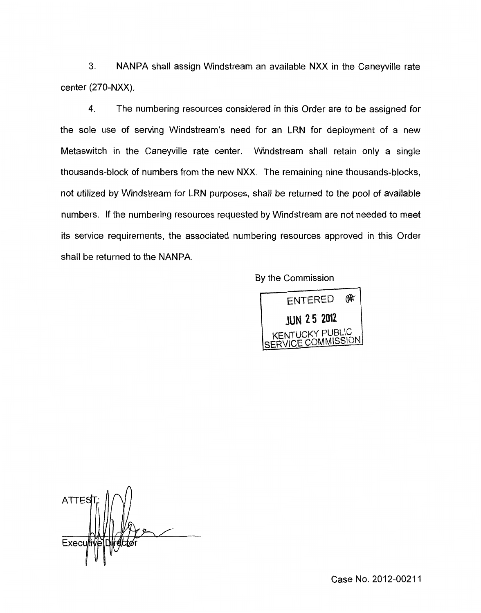**3.** NANPA shall assign Windstream an available NXX in the Caneyville rate center (270-NXX).

**4.** The numbering resources considered in this Order are to be assigned for the sole use of serving Windstream's need for an LRN for deployment of a new Metaswitch in the Caneyville rate center. Windstream shall retain only a single thousands-block of numbers from the new NXX. The remaining nine thousands-blocks, not utilized by Windstream for LRN purposes, shall be returned to the pool of available numbers. If the numbering resources requested by Windstream are not needed to meet its service requirements, the associated numbering resources approved in this Order shall be returned to the NANPA.

By the Commission



**ATTES** Exect